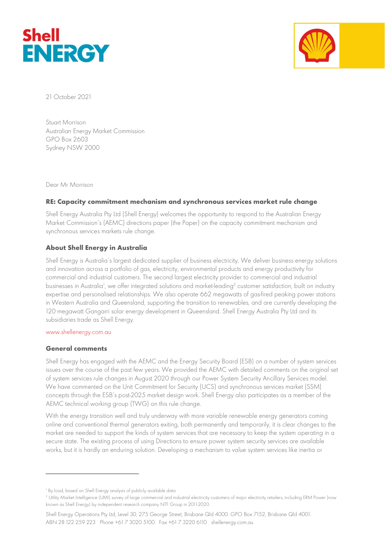



21 October 2021

Stuart Morrison Australian Energy Market Commission GPO Box 2603 Sydney NSW 2000

Dear Mr Morrison

## RE: Capacity commitment mechanism and synchronous services market rule change

Shell Energy Australia Pty Ltd (Shell Energy) welcomes the opportunity to respond to the Australian Energy Market Commission's (AEMC) directions paper (the Paper) on the capacity commitment mechanism and synchronous services markets rule change.

### About Shell Energy in Australia

Shell Energy is Australia's largest dedicated supplier of business electricity. We deliver business energy solutions and innovation across a portfolio of gas, electricity, environmental products and energy productivity for commercial and industrial customers. The second largest electricity provider to commercial and industrial businesses in Australia<sup>1</sup>, we offer integrated solutions and market-leading<sup>2</sup> customer satisfaction, built on industry expertise and personalised relationships. We also operate 662 megawatts of gas-fired peaking power stations in Western Australia and Queensland, supporting the transition to renewables, and are currently developing the 120 megawatt Gangarri solar energy development in Queensland. Shell Energy Australia Pty Ltd and its subsidiaries trade as Shell Energy.

#### www.shellenergy.com.au

### General comments

Shell Energy has engaged with the AEMC and the Energy Security Board (ESB) on a number of system services issues over the course of the past few years. We provided the AEMC with detailed comments on the original set of system services rule changes in August 2020 through our Power System Security Ancillary Services model. We have commented on the Unit Commitment for Security (UCS) and synchronous services market (SSM) concepts through the ESB's post-2025 market design work. Shell Energy also participates as a member of the AEMC technical working group (TWG) on this rule change.

With the energy transition well and truly underway with more variable renewable energy generators coming online and conventional thermal generators exiting, both permanently and temporarily, it is clear changes to the market are needed to support the kinds of system services that are necessary to keep the system operating in a secure state. The existing process of using Directions to ensure power system security services are available works, but it is hardly an enduring solution. Developing a mechanism to value system services like inertia or

<sup>1</sup> By load, based on Shell Energy analysis of publicly available data

<sup>2</sup> Utility Market Intelligence (UMI) survey of large commercial and industrial electricity customers of major electricity retailers, including ERM Power (now known as Shell Energy) by independent research company NTF Group in 2011-2020.

Shell Energy Operations Pty Ltd, Level 30, 275 George Street, Brisbane Qld 4000. GPO Box 7152, Brisbane Qld 4001. ABN 28 122 259 223 Phone +61 7 3020 5100 Fax +61 7 3220 6110 shellenergy.com.au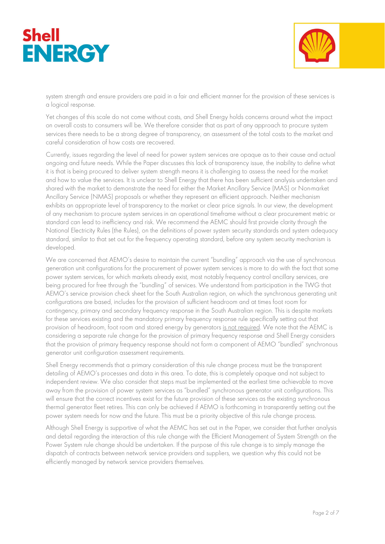



system strength and ensure providers are paid in a fair and efficient manner for the provision of these services is a logical response.

Yet changes of this scale do not come without costs, and Shell Energy holds concerns around what the impact on overall costs to consumers will be. We therefore consider that as part of any approach to procure system services there needs to be a strong degree of transparency, an assessment of the total costs to the market and careful consideration of how costs are recovered.

Currently, issues regarding the level of need for power system services are opaque as to their cause and actual ongoing and future needs. While the Paper discusses this lack of transparency issue, the inability to define what it is that is being procured to deliver system strength means it is challenging to assess the need for the market and how to value the services. It is unclear to Shell Energy that there has been sufficient analysis undertaken and shared with the market to demonstrate the need for either the Market Ancillary Service (MAS) or Non-market Ancillary Service (NMAS) proposals or whether they represent an efficient approach. Neither mechanism exhibits an appropriate level of transparency to the market or clear price signals. In our view, the development of any mechanism to procure system services in an operational timeframe without a clear procurement metric or standard can lead to inefficiency and risk. We recommend the AEMC should first provide clarity through the National Electricity Rules (the Rules), on the definitions of power system security standards and system adequacy standard, similar to that set out for the frequency operating standard, before any system security mechanism is developed.

We are concerned that AEMO's desire to maintain the current "bundling" approach via the use of synchronous generation unit configurations for the procurement of power system services is more to do with the fact that some power system services, for which markets already exist, most notably frequency control ancillary services, are being procured for free through the "bundling" of services. We understand from participation in the TWG that AEMO's service provision check sheet for the South Australian region, on which the synchronous generating unit configurations are based, includes for the provision of sufficient headroom and at times foot room for contingency, primary and secondary frequency response in the South Australian region. This is despite markets for these services existing and the mandatory primary frequency response rule specifically setting out that provision of headroom, foot room and stored energy by generators is not required. We note that the AEMC is considering a separate rule change for the provision of primary frequency response and Shell Energy considers that the provision of primary frequency response should not form a component of AEMO "bundled" synchronous generator unit configuration assessment requirements.

Shell Energy recommends that a primary consideration of this rule change process must be the transparent detailing of AEMO's processes and data in this area. To date, this is completely opaque and not subject to independent review. We also consider that steps must be implemented at the earliest time achievable to move away from the provision of power system services as "bundled" synchronous generator unit configurations. This will ensure that the correct incentives exist for the future provision of these services as the existing synchronous thermal generator fleet retires. This can only be achieved if AEMO is forthcoming in transparently setting out the power system needs for now and the future. This must be a priority objective of this rule change process.

Although Shell Energy is supportive of what the AEMC has set out in the Paper, we consider that further analysis and detail regarding the interaction of this rule change with the Efficient Management of System Strength on the Power System rule change should be undertaken. If the purpose of this rule change is to simply manage the dispatch of contracts between network service providers and suppliers, we question why this could not be efficiently managed by network service providers themselves.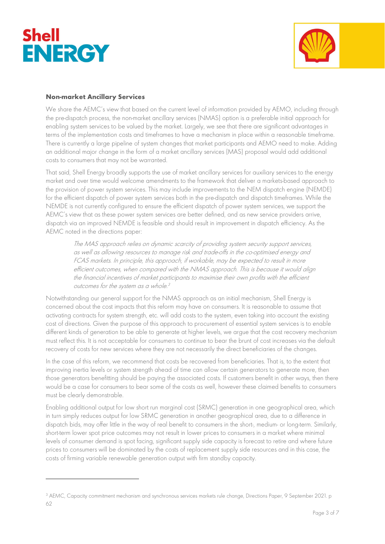



## Non-market Ancillary Services

We share the AEMC's view that based on the current level of information provided by AEMO, including through the pre-dispatch process, the non-market ancillary services (NMAS) option is a preferable initial approach for enabling system services to be valued by the market. Largely, we see that there are significant advantages in terms of the implementation costs and timeframes to have a mechanism in place within a reasonable timeframe. There is currently a large pipeline of system changes that market participants and AEMO need to make. Adding an additional major change in the form of a market ancillary services (MAS) proposal would add additional costs to consumers that may not be warranted.

That said, Shell Energy broadly supports the use of market ancillary services for auxiliary services to the energy market and over time would welcome amendments to the framework that deliver a markets-based approach to the provision of power system services. This may include improvements to the NEM dispatch engine (NEMDE) for the efficient dispatch of power system services both in the pre-dispatch and dispatch timeframes. While the NEMDE is not currently configured to ensure the efficient dispatch of power system services, we support the AEMC's view that as these power system services are better defined, and as new service providers arrive, dispatch via an improved NEMDE is feasible and should result in improvement in dispatch efficiency. As the AEMC noted in the directions paper:

The MAS approach relies on dynamic scarcity of providing system security support services, as well as allowing resources to manage risk and trade-offs in the co-optimised energy and FCAS markets. In principle, this approach, if workable, may be expected to result in more efficient outcomes, when compared with the NMAS approach. This is because it would align the financial incentives of market participants to maximise their own profits with the efficient outcomes for the system as a whole. 3

Notwithstanding our general support for the NMAS approach as an initial mechanism, Shell Energy is concerned about the cost impacts that this reform may have on consumers. It is reasonable to assume that activating contracts for system strength, etc. will add costs to the system, even taking into account the existing cost of directions. Given the purpose of this approach to procurement of essential system services is to enable different kinds of generation to be able to generate at higher levels, we argue that the cost recovery mechanism must reflect this. It is not acceptable for consumers to continue to bear the brunt of cost increases via the default recovery of costs for new services where they are not necessarily the direct beneficiaries of the changes.

In the case of this reform, we recommend that costs be recovered from beneficiaries. That is, to the extent that improving inertia levels or system strength ahead of time can allow certain generators to generate more, then those generators benefitting should be paying the associated costs. If customers benefit in other ways, then there would be a case for consumers to bear some of the costs as well, however these claimed benefits to consumers must be clearly demonstrable.

Enabling additional output for low short run marginal cost (SRMC) generation in one geographical area, which in turn simply reduces output for low SRMC generation in another geographical area, due to a difference in dispatch bids, may offer little in the way of real benefit to consumers in the short-, medium- or long-term. Similarly, short-term lower spot price outcomes may not result in lower prices to consumers in a market where minimal levels of consumer demand is spot facing, significant supply side capacity is forecast to retire and where future prices to consumers will be dominated by the costs of replacement supply side resources and in this case, the costs of firming variable renewable generation output with firm standby capacity.

<sup>&</sup>lt;sup>3</sup> AEMC, Capacity commitment mechanism and synchronous services markets rule change, Directions Paper, 9 September 2021. p 62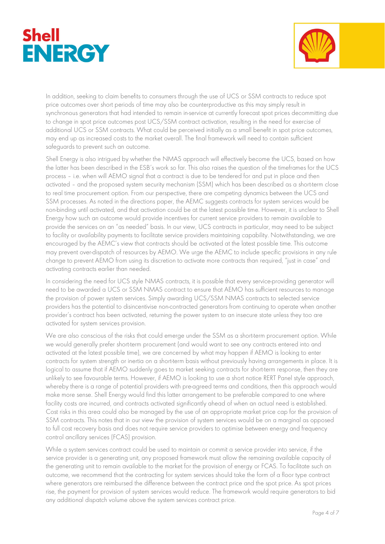



In addition, seeking to claim benefits to consumers through the use of UCS or SSM contracts to reduce spot price outcomes over short periods of time may also be counterproductive as this may simply result in synchronous generators that had intended to remain in-service at currently forecast spot prices decommitting due to change in spot price outcomes post UCS/SSM contract activation, resulting in the need for exercise of additional UCS or SSM contracts. What could be perceived initially as a small benefit in spot price outcomes, may end up as increased costs to the market overall. The final framework will need to contain sufficient safeguards to prevent such an outcome.

Shell Energy is also intrigued by whether the NMAS approach will effectively become the UCS, based on how the latter has been described in the ESB's work so far. This also raises the question of the timeframes for the UCS process – i.e. when will AEMO signal that a contract is due to be tendered for and put in place and then activated – and the proposed system security mechanism (SSM) which has been described as a short-term close to real time procurement option. From our perspective, there are competing dynamics between the UCS and SSM processes. As noted in the directions paper, the AEMC suggests contracts for system services would be non-binding until activated, and that activation could be at the latest possible time. However, it is unclear to Shell Energy how such an outcome would provide incentives for current service providers to remain available to provide the services on an "as needed" basis. In our view, UCS contracts in particular, may need to be subject to facility or availability payments to facilitate service providers maintaining capability. Notwithstanding, we are encouraged by the AEMC's view that contracts should be activated at the latest possible time. This outcome may prevent over-dispatch of resources by AEMO. We urge the AEMC to include specific provisions in any rule change to prevent AEMO from using its discretion to activate more contracts than required, "just in case" and activating contracts earlier than needed.

In considering the need for UCS style NMAS contracts, it is possible that every service-providing generator will need to be awarded a UCS or SSM NMAS contract to ensure that AEMO has sufficient resources to manage the provision of power system services. Simply awarding UCS/SSM NMAS contracts to selected service providers has the potential to disincentivise non-contracted generators from continuing to operate when another provider's contract has been activated, returning the power system to an insecure state unless they too are activated for system services provision.

We are also conscious of the risks that could emerge under the SSM as a short-term procurement option. While we would generally prefer short-term procurement (and would want to see any contracts entered into and activated at the latest possible time), we are concerned by what may happen if AEMO is looking to enter contracts for system strength or inertia on a short-term basis without previously having arrangements in place. It is logical to assume that if AEMO suddenly goes to market seeking contracts for short-term response, then they are unlikely to see favourable terms. However, if AEMO is looking to use a short notice RERT Panel style approach, whereby there is a range of potential providers with pre-agreed terms and conditions, then this approach would make more sense. Shell Energy would find this latter arrangement to be preferable compared to one where facility costs are incurred, and contracts activated significantly ahead of when an actual need is established. Cost risks in this area could also be managed by the use of an appropriate market price cap for the provision of SSM contracts. This notes that in our view the provision of system services would be on a marginal as opposed to full cost recovery basis and does not require service providers to optimise between energy and frequency control ancillary services (FCAS) provision.

While a system services contract could be used to maintain or commit a service provider into service, if the service provider is a generating unit, any proposed framework must allow the remaining available capacity of the generating unit to remain available to the market for the provision of energy or FCAS. To facilitate such an outcome, we recommend that the contracting for system services should take the form of a floor type contract where generators are reimbursed the difference between the contract price and the spot price. As spot prices rise, the payment for provision of system services would reduce. The framework would require generators to bid any additional dispatch volume above the system services contract price.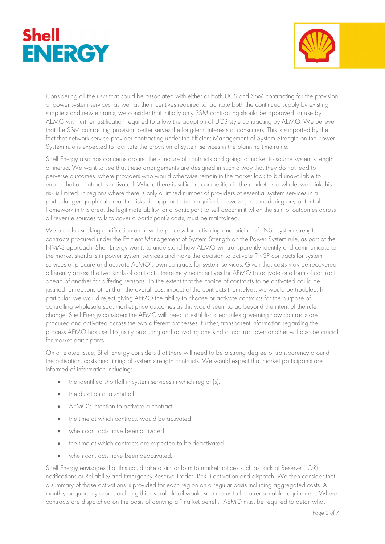



Considering all the risks that could be associated with either or both UCS and SSM contracting for the provision of power system services, as well as the incentives required to facilitate both the continued supply by existing suppliers and new entrants, we consider that initially only SSM contracting should be approved for use by AEMO with further justification required to allow the adoption of UCS style contracting by AEMO. We believe that the SSM contracting provision better serves the long-term interests of consumers. This is supported by the fact that network service provider contracting under the Efficient Management of System Strength on the Power System rule is expected to facilitate the provision of system services in the planning timeframe.

Shell Energy also has concerns around the structure of contracts and going to market to source system strength or inertia. We want to see that these arrangements are designed in such a way that they do not lead to perverse outcomes, where providers who would otherwise remain in the market look to bid unavailable to ensure that a contract is activated. Where there is sufficient competition in the market as a whole, we think this risk is limited. In regions where there is only a limited number of providers of essential system services in a particular geographical area, the risks do appear to be magnified. However, in considering any potential framework in this area, the legitimate ability for a participant to self decommit when the sum of outcomes across all revenue sources fails to cover a participant's costs, must be maintained.

We are also seeking clarification on how the process for activating and pricing of TNSP system strength contracts procured under the Efficient Management of System Strength on the Power System rule, as part of the NMAS approach. Shell Energy wants to understand how AEMO will transparently identify and communicate to the market shortfalls in power system services and make the decision to activate TNSP contracts for system services or procure and activate AEMO's own contracts for system services. Given that costs may be recovered differently across the two kinds of contracts, there may be incentives for AEMO to activate one form of contract ahead of another for differing reasons. To the extent that the choice of contracts to be activated could be justified for reasons other than the overall cost impact of the contracts themselves, we would be troubled. In particular, we would reject giving AEMO the ability to choose or activate contracts for the purpose of controlling wholesale spot market price outcomes as this would seem to go beyond the intent of the rule change. Shell Energy considers the AEMC will need to establish clear rules governing how contracts are procured and activated across the two different processes. Further, transparent information regarding the process AEMO has used to justify procuring and activating one kind of contract over another will also be crucial for market participants.

On a related issue, Shell Energy considers that there will need to be a strong degree of transparency around the activation, costs and timing of system strength contracts. We would expect that market participants are informed of information including:

- the identified shortfall in system services in which region(s),
- the duration of a shortfall
- AEMO's intention to activate a contract,
- the time at which contracts would be activated
- when contracts have been activated
- the time at which contracts are expected to be deactivated
- when contracts have been deactivated.

Shell Energy envisages that this could take a similar form to market notices such as Lack of Reserve (LOR) notifications or Reliability and Emergency Reserve Trader (RERT) activation and dispatch. We then consider that a summary of those activations is provided for each region on a regular basis including aggregated costs. A monthly or quarterly report outlining this overall detail would seem to us to be a reasonable requirement. Where contracts are dispatched on the basis of deriving a "market benefit" AEMO must be required to detail what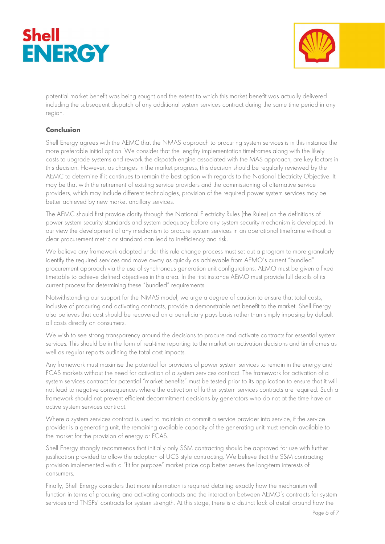



potential market benefit was being sought and the extent to which this market benefit was actually delivered including the subsequent dispatch of any additional system services contract during the same time period in any region.

# Conclusion

Shell Energy agrees with the AEMC that the NMAS approach to procuring system services is in this instance the more preferable initial option. We consider that the lengthy implementation timeframes along with the likely costs to upgrade systems and rework the dispatch engine associated with the MAS approach, are key factors in this decision. However, as changes in the market progress, this decision should be regularly reviewed by the AEMC to determine if it continues to remain the best option with regards to the National Electricity Objective. It may be that with the retirement of existing service providers and the commissioning of alternative service providers, which may include different technologies, provision of the required power system services may be better achieved by new market ancillary services.

The AEMC should first provide clarity through the National Electricity Rules (the Rules) on the definitions of power system security standards and system adequacy before any system security mechanism is developed. In our view the development of any mechanism to procure system services in an operational timeframe without a clear procurement metric or standard can lead to inefficiency and risk.

We believe any framework adopted under this rule change process must set out a program to more granularly identify the required services and move away as quickly as achievable from AEMO's current "bundled" procurement approach via the use of synchronous generation unit configurations. AEMO must be given a fixed timetable to achieve defined objectives in this area. In the first instance AEMO must provide full details of its current process for determining these "bundled" requirements.

Notwithstanding our support for the NMAS model, we urge a degree of caution to ensure that total costs, inclusive of procuring and activating contracts, provide a demonstrable net benefit to the market. Shell Energy also believes that cost should be recovered on a beneficiary pays basis rather than simply imposing by default all costs directly on consumers.

We wish to see strong transparency around the decisions to procure and activate contracts for essential system services. This should be in the form of real-time reporting to the market on activation decisions and timeframes as well as regular reports outlining the total cost impacts.

Any framework must maximise the potential for providers of power system services to remain in the energy and FCAS markets without the need for activation of a system services contract. The framework for activation of a system services contract for potential "market benefits" must be tested prior to its application to ensure that it will not lead to negative consequences where the activation of further system services contracts are required. Such a framework should not prevent efficient decommitment decisions by generators who do not at the time have an active system services contract.

Where a system services contract is used to maintain or commit a service provider into service, if the service provider is a generating unit, the remaining available capacity of the generating unit must remain available to the market for the provision of energy or FCAS.

Shell Energy strongly recommends that initially only SSM contracting should be approved for use with further justification provided to allow the adoption of UCS style contracting. We believe that the SSM contracting provision implemented with a "fit for purpose" market price cap better serves the long-term interests of consumers.

Finally, Shell Energy considers that more information is required detailing exactly how the mechanism will function in terms of procuring and activating contracts and the interaction between AEMO's contracts for system services and TNSPs' contracts for system strength. At this stage, there is a distinct lack of detail around how the